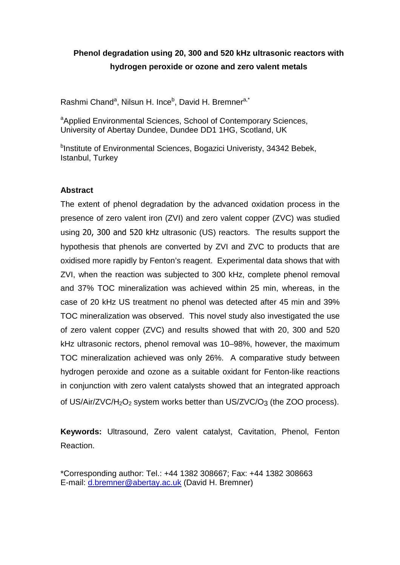# **Phenol degradation using 20, 300 and 520 kHz ultrasonic reactors with hydrogen peroxide or ozone and zero valent metals**

Rashmi Chand<sup>a</sup>, Nilsun H. Ince<sup>b</sup>, David H. Bremner<sup>a,\*</sup>

<sup>a</sup>Applied Environmental Sciences, School of Contemporary Sciences, University of Abertay Dundee, Dundee DD1 1HG, Scotland, UK

<sup>b</sup>Institute of Environmental Sciences, Bogazici Univeristy, 34342 Bebek, Istanbul, Turkey

# **Abstract**

The extent of phenol degradation by the advanced oxidation process in the presence of zero valent iron (ZVI) and zero valent copper (ZVC) was studied using 20, 300 and 520 kHz ultrasonic (US) reactors. The results support the hypothesis that phenols are converted by ZVI and ZVC to products that are oxidised more rapidly by Fenton's reagent. Experimental data shows that with ZVI, when the reaction was subjected to 300 kHz, complete phenol removal and 37% TOC mineralization was achieved within 25 min, whereas, in the case of 20 kHz US treatment no phenol was detected after 45 min and 39% TOC mineralization was observed. This novel study also investigated the use of zero valent copper (ZVC) and results showed that with 20, 300 and 520 kHz ultrasonic rectors, phenol removal was 10–98%, however, the maximum TOC mineralization achieved was only 26%. A comparative study between hydrogen peroxide and ozone as a suitable oxidant for Fenton-like reactions in conjunction with zero valent catalysts showed that an integrated approach of US/Air/ZVC/H<sub>2</sub>O<sub>2</sub> system works better than US/ZVC/O<sub>3</sub> (the ZOO process).

**Keywords:** Ultrasound, Zero valent catalyst, Cavitation, Phenol, Fenton Reaction.

\*Corresponding author: Tel.: +44 1382 308667; Fax: +44 1382 308663 E-mail: d.bremner@abertay.ac.uk (David H. Bremner)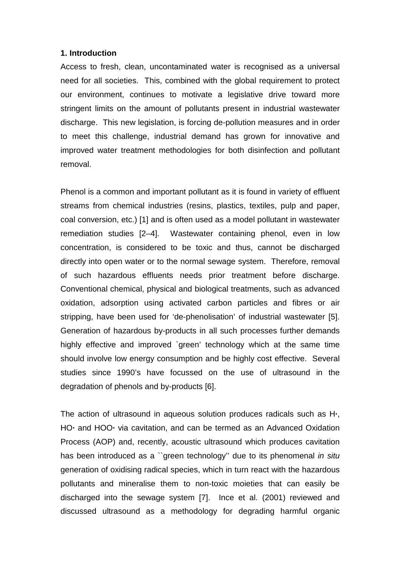#### **1. Introduction**

Access to fresh, clean, uncontaminated water is recognised as a universal need for all societies. This, combined with the global requirement to protect our environment, continues to motivate a legislative drive toward more stringent limits on the amount of pollutants present in industrial wastewater discharge. This new legislation, is forcing de-pollution measures and in order to meet this challenge, industrial demand has grown for innovative and improved water treatment methodologies for both disinfection and pollutant removal.

Phenol is a common and important pollutant as it is found in variety of effluent streams from chemical industries (resins, plastics, textiles, pulp and paper, coal conversion, etc.) [1] and is often used as a model pollutant in wastewater remediation studies [2–4]. Wastewater containing phenol, even in low concentration, is considered to be toxic and thus, cannot be discharged directly into open water or to the normal sewage system. Therefore, removal of such hazardous effluents needs prior treatment before discharge. Conventional chemical, physical and biological treatments, such as advanced oxidation, adsorption using activated carbon particles and fibres or air stripping, have been used for 'de-phenolisation' of industrial wastewater [5]. Generation of hazardous by-products in all such processes further demands highly effective and improved `green' technology which at the same time should involve low energy consumption and be highly cost effective. Several studies since 1990's have focussed on the use of ultrasound in the degradation of phenols and by-products [6].

The action of ultrasound in aqueous solution produces radicals such as H**·**, HO**·** and HOO**·** via cavitation, and can be termed as an Advanced Oxidation Process (AOP) and, recently, acoustic ultrasound which produces cavitation has been introduced as a "green technology" due to its phenomenal in situ generation of oxidising radical species, which in turn react with the hazardous pollutants and mineralise them to non-toxic moieties that can easily be discharged into the sewage system [7]. Ince et al. (2001) reviewed and discussed ultrasound as a methodology for degrading harmful organic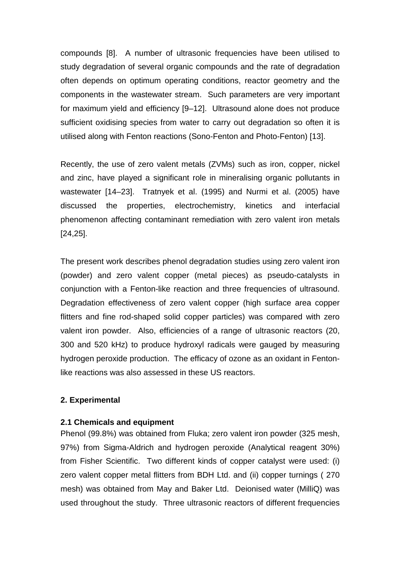compounds [8]. A number of ultrasonic frequencies have been utilised to study degradation of several organic compounds and the rate of degradation often depends on optimum operating conditions, reactor geometry and the components in the wastewater stream. Such parameters are very important for maximum yield and efficiency [9–12]. Ultrasound alone does not produce sufficient oxidising species from water to carry out degradation so often it is utilised along with Fenton reactions (Sono-Fenton and Photo-Fenton) [13].

Recently, the use of zero valent metals (ZVMs) such as iron, copper, nickel and zinc, have played a significant role in mineralising organic pollutants in wastewater [14–23]. Tratnyek et al. (1995) and Nurmi et al. (2005) have discussed the properties, electrochemistry, kinetics and interfacial phenomenon affecting contaminant remediation with zero valent iron metals [24,25].

The present work describes phenol degradation studies using zero valent iron (powder) and zero valent copper (metal pieces) as pseudo-catalysts in conjunction with a Fenton-like reaction and three frequencies of ultrasound. Degradation effectiveness of zero valent copper (high surface area copper flitters and fine rod-shaped solid copper particles) was compared with zero valent iron powder. Also, efficiencies of a range of ultrasonic reactors (20, 300 and 520 kHz) to produce hydroxyl radicals were gauged by measuring hydrogen peroxide production. The efficacy of ozone as an oxidant in Fentonlike reactions was also assessed in these US reactors.

## **2. Experimental**

#### **2.1 Chemicals and equipment**

Phenol (99.8%) was obtained from Fluka; zero valent iron powder (325 mesh, 97%) from Sigma-Aldrich and hydrogen peroxide (Analytical reagent 30%) from Fisher Scientific. Two different kinds of copper catalyst were used: (i) zero valent copper metal flitters from BDH Ltd. and (ii) copper turnings ( 270 mesh) was obtained from May and Baker Ltd. Deionised water (MilliQ) was used throughout the study. Three ultrasonic reactors of different frequencies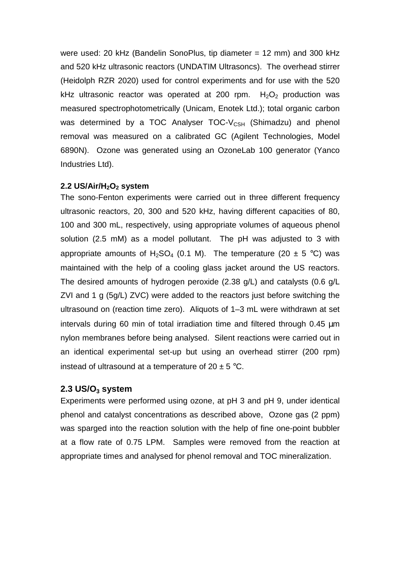were used: 20 kHz (Bandelin SonoPlus, tip diameter = 12 mm) and 300 kHz and 520 kHz ultrasonic reactors (UNDATIM Ultrasoncs). The overhead stirrer (Heidolph RZR 2020) used for control experiments and for use with the 520 kHz ultrasonic reactor was operated at 200 rpm.  $H_2O_2$  production was measured spectrophotometrically (Unicam, Enotek Ltd.); total organic carbon was determined by a TOC Analyser  $TOC-V_{CSH}$  (Shimadzu) and phenol removal was measured on a calibrated GC (Agilent Technologies, Model 6890N). Ozone was generated using an OzoneLab 100 generator (Yanco Industries Ltd).

#### **2.2 US/Air/H2O2 system**

The sono-Fenton experiments were carried out in three different frequency ultrasonic reactors, 20, 300 and 520 kHz, having different capacities of 80, 100 and 300 mL, respectively, using appropriate volumes of aqueous phenol solution (2.5 mM) as a model pollutant. The pH was adjusted to 3 with appropriate amounts of H<sub>2</sub>SO<sub>4</sub> (0.1 M). The temperature (20  $\pm$  5 °C) was maintained with the help of a cooling glass jacket around the US reactors. The desired amounts of hydrogen peroxide (2.38 g/L) and catalysts (0.6 g/L ZVI and 1 g (5g/L) ZVC) were added to the reactors just before switching the ultrasound on (reaction time zero). Aliquots of 1–3 mL were withdrawn at set intervals during 60 min of total irradiation time and filtered through 0.45 µm nylon membranes before being analysed. Silent reactions were carried out in an identical experimental set-up but using an overhead stirrer (200 rpm) instead of ultrasound at a temperature of  $20 \pm 5$  °C.

## **2.3 US/O3 system**

Experiments were performed using ozone, at pH 3 and pH 9, under identical phenol and catalyst concentrations as described above, Ozone gas (2 ppm) was sparged into the reaction solution with the help of fine one-point bubbler at a flow rate of 0.75 LPM. Samples were removed from the reaction at appropriate times and analysed for phenol removal and TOC mineralization.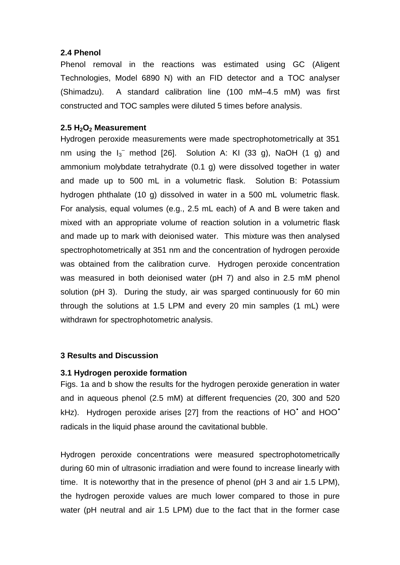## **2.4 Phenol**

Phenol removal in the reactions was estimated using GC (Aligent Technologies, Model 6890 N) with an FID detector and a TOC analyser (Shimadzu). A standard calibration line (100 mM–4.5 mM) was first constructed and TOC samples were diluted 5 times before analysis.

## **2.5 H2O2 Measurement**

Hydrogen peroxide measurements were made spectrophotometrically at 351 nm using the  $I_3^-$  method [26]. Solution A: KI (33 g), NaOH (1 g) and ammonium molybdate tetrahydrate (0.1 g) were dissolved together in water and made up to 500 mL in a volumetric flask. Solution B: Potassium hydrogen phthalate (10 g) dissolved in water in a 500 mL volumetric flask. For analysis, equal volumes (e.g., 2.5 mL each) of A and B were taken and mixed with an appropriate volume of reaction solution in a volumetric flask and made up to mark with deionised water. This mixture was then analysed spectrophotometrically at 351 nm and the concentration of hydrogen peroxide was obtained from the calibration curve. Hydrogen peroxide concentration was measured in both deionised water (pH 7) and also in 2.5 mM phenol solution (pH 3). During the study, air was sparged continuously for 60 min through the solutions at 1.5 LPM and every 20 min samples (1 mL) were withdrawn for spectrophotometric analysis.

#### **3 Results and Discussion**

#### **3.1 Hydrogen peroxide formation**

Figs. 1a and b show the results for the hydrogen peroxide generation in water and in aqueous phenol (2.5 mM) at different frequencies (20, 300 and 520 kHz). Hydrogen peroxide arises [27] from the reactions of HO<sup>\*</sup> and HOO<sup>\*</sup> radicals in the liquid phase around the cavitational bubble.

Hydrogen peroxide concentrations were measured spectrophotometrically during 60 min of ultrasonic irradiation and were found to increase linearly with time. It is noteworthy that in the presence of phenol (pH 3 and air 1.5 LPM), the hydrogen peroxide values are much lower compared to those in pure water (pH neutral and air 1.5 LPM) due to the fact that in the former case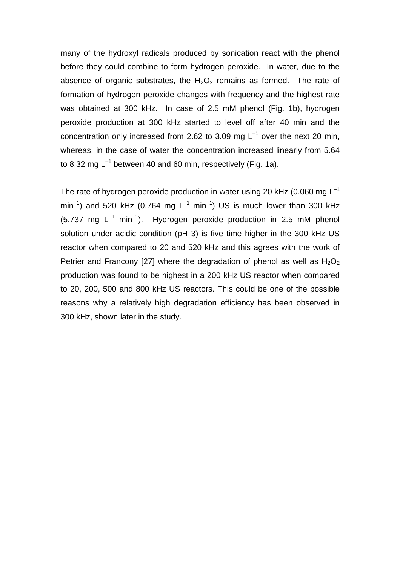many of the hydroxyl radicals produced by sonication react with the phenol before they could combine to form hydrogen peroxide. In water, due to the absence of organic substrates, the  $H_2O_2$  remains as formed. The rate of formation of hydrogen peroxide changes with frequency and the highest rate was obtained at 300 kHz. In case of 2.5 mM phenol (Fig. 1b), hydrogen peroxide production at 300 kHz started to level off after 40 min and the concentration only increased from 2.62 to 3.09 mg  $L^{-1}$  over the next 20 min. whereas, in the case of water the concentration increased linearly from 5.64 to 8.32 mg  $L^{-1}$  between 40 and 60 min, respectively (Fig. 1a).

The rate of hydrogen peroxide production in water using 20 kHz (0.060 mg  $L^{-1}$ )  $min^{-1}$ ) and 520 kHz (0.764 mg  $L^{-1}$  min<sup>-1</sup>) US is much lower than 300 kHz  $(5.737 \text{ mg } L^{-1} \text{ min}^{-1})$ . Hydrogen peroxide production in 2.5 mM phenol solution under acidic condition (pH 3) is five time higher in the 300 kHz US reactor when compared to 20 and 520 kHz and this agrees with the work of Petrier and Francony [27] where the degradation of phenol as well as  $H_2O_2$ production was found to be highest in a 200 kHz US reactor when compared to 20, 200, 500 and 800 kHz US reactors. This could be one of the possible reasons why a relatively high degradation efficiency has been observed in 300 kHz, shown later in the study.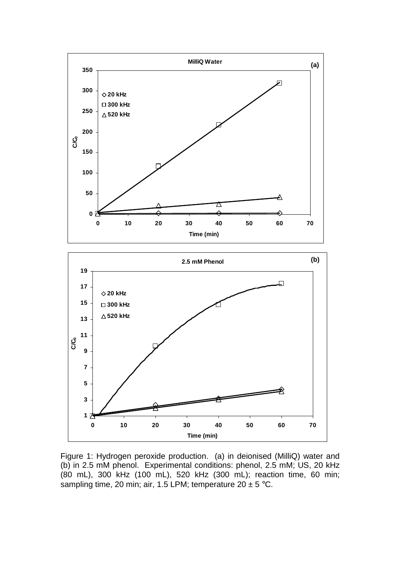

Figure 1: Hydrogen peroxide production. (a) in deionised (MilliQ) water and (b) in 2.5 mM phenol. Experimental conditions: phenol, 2.5 mM; US, 20 kHz (80 mL), 300 kHz (100 mL), 520 kHz (300 mL); reaction time, 60 min; sampling time, 20 min; air, 1.5 LPM; temperature  $20 \pm 5$  °C.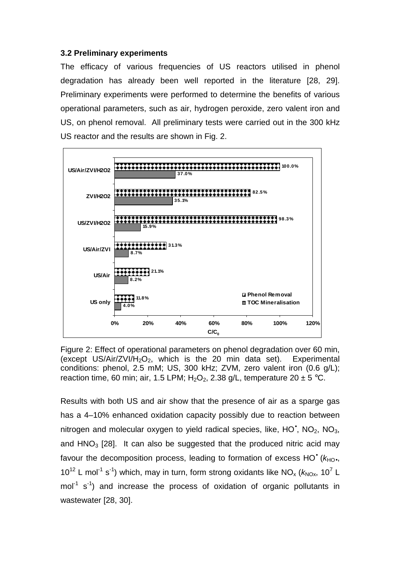## **3.2 Preliminary experiments**

The efficacy of various frequencies of US reactors utilised in phenol degradation has already been well reported in the literature [28, 29]. Preliminary experiments were performed to determine the benefits of various operational parameters, such as air, hydrogen peroxide, zero valent iron and US, on phenol removal. All preliminary tests were carried out in the 300 kHz US reactor and the results are shown in Fig. 2.



Figure 2: Effect of operational parameters on phenol degradation over 60 min, (except US/Air/ZVI/H<sub>2</sub>O<sub>2</sub>, which is the 20 min data set). Experimental conditions: phenol, 2.5 mM; US, 300 kHz; ZVM, zero valent iron (0.6 g/L); reaction time, 60 min; air, 1.5 LPM;  $H_2O_2$ , 2.38 g/L, temperature 20  $\pm$  5 °C.

Results with both US and air show that the presence of air as a sparge gas has a 4–10% enhanced oxidation capacity possibly due to reaction between nitrogen and molecular oxygen to yield radical species, like,  $HO^*$ ,  $NO_2$ ,  $NO_3$ , and  $HNO<sub>3</sub>$  [28]. It can also be suggested that the produced nitric acid may favour the decomposition process, leading to formation of excess  $HO^{\bullet}$  ( $k_{HO^{\bullet}}$ , 10<sup>12</sup> L mol<sup>-1</sup> s<sup>-1</sup>) which, may in turn, form strong oxidants like NO<sub>x</sub> ( $k_{\text{NOx}}$ , 10<sup>7</sup> L  $mol<sup>-1</sup> s<sup>-1</sup>$ ) and increase the process of oxidation of organic pollutants in wastewater [28, 30].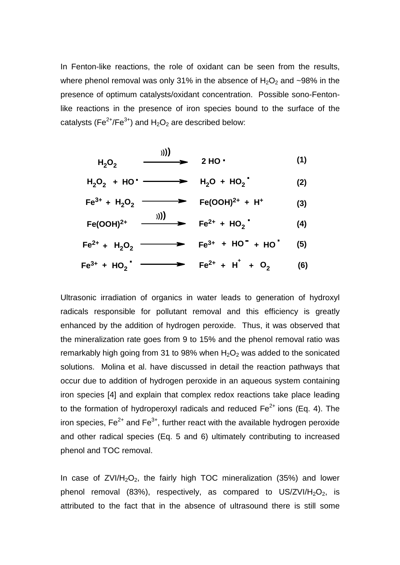In Fenton-like reactions, the role of oxidant can be seen from the results, where phenol removal was only 31% in the absence of  $H_2O_2$  and ~98% in the presence of optimum catalysts/oxidant concentration. Possible sono-Fentonlike reactions in the presence of iron species bound to the surface of the catalysts (Fe<sup>2+</sup>/Fe<sup>3+</sup>) and H<sub>2</sub>O<sub>2</sub> are described below:

$$
H_2O_2 \qquad \qquad \longrightarrow \qquad 2 \text{ HO} \tag{1}
$$

$$
H_2O_2 + HO^{\bullet} \longrightarrow H_2O + HO_2^{\bullet}
$$
 (2)

$$
Fe3+ + H2O2 \longrightarrow Fe(OOH)2+ + H+ (3)
$$
  
\n
$$
Fe(OOH)2+ \longrightarrow Fe2+ + HO2+ (4)
$$
  
\n
$$
Fe2+ + H2O2 \longrightarrow Fe3+ + HO- + HO- (5)
$$

$$
Fe^{3+} + HO_2' \longrightarrow Fe^{2+} + H^+ + O_2 \qquad (6)
$$

Ultrasonic irradiation of organics in water leads to generation of hydroxyl radicals responsible for pollutant removal and this efficiency is greatly enhanced by the addition of hydrogen peroxide. Thus, it was observed that the mineralization rate goes from 9 to 15% and the phenol removal ratio was remarkably high going from 31 to 98% when  $H_2O_2$  was added to the sonicated solutions. Molina et al. have discussed in detail the reaction pathways that occur due to addition of hydrogen peroxide in an aqueous system containing iron species [4] and explain that complex redox reactions take place leading to the formation of hydroperoxyl radicals and reduced  $Fe<sup>2+</sup>$  ions (Eq. 4). The iron species,  $Fe^{2+}$  and  $Fe^{3+}$ , further react with the available hydrogen peroxide and other radical species (Eq. 5 and 6) ultimately contributing to increased phenol and TOC removal.

In case of  $ZVI/H<sub>2</sub>O<sub>2</sub>$ , the fairly high TOC mineralization (35%) and lower phenol removal (83%), respectively, as compared to  $US/ZVI/H<sub>2</sub>O<sub>2</sub>$ , is attributed to the fact that in the absence of ultrasound there is still some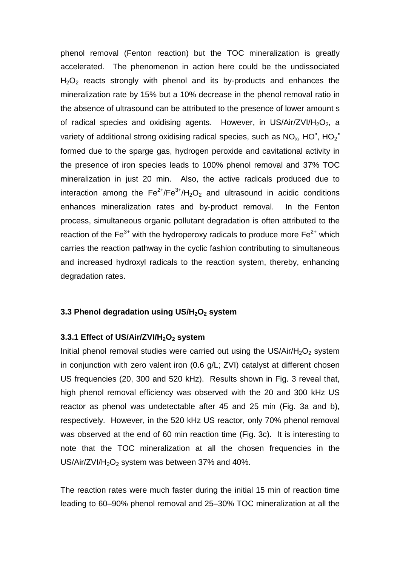phenol removal (Fenton reaction) but the TOC mineralization is greatly accelerated. The phenomenon in action here could be the undissociated  $H<sub>2</sub>O<sub>2</sub>$  reacts strongly with phenol and its by-products and enhances the mineralization rate by 15% but a 10% decrease in the phenol removal ratio in the absence of ultrasound can be attributed to the presence of lower amount s of radical species and oxidising agents. However, in US/Air/ZVI/H<sub>2</sub>O<sub>2</sub>, a variety of additional strong oxidising radical species, such as  $NO_x$ , HO<sup>\*</sup>, HO<sup>2</sup><sup>\*</sup> formed due to the sparge gas, hydrogen peroxide and cavitational activity in the presence of iron species leads to 100% phenol removal and 37% TOC mineralization in just 20 min. Also, the active radicals produced due to interaction among the  $Fe^{2+}/Fe^{3+}/H_2O_2$  and ultrasound in acidic conditions enhances mineralization rates and by-product removal. In the Fenton process, simultaneous organic pollutant degradation is often attributed to the reaction of the Fe<sup>3+</sup> with the hydroperoxy radicals to produce more  $Fe<sup>2+</sup>$  which carries the reaction pathway in the cyclic fashion contributing to simultaneous and increased hydroxyl radicals to the reaction system, thereby, enhancing degradation rates.

## **3.3 Phenol degradation using US/H2O2 system**

#### **3.3.1 Effect of US/Air/ZVI/H2O2 system**

Initial phenol removal studies were carried out using the US/Air/H<sub>2</sub>O<sub>2</sub> system in conjunction with zero valent iron (0.6 g/L; ZVI) catalyst at different chosen US frequencies (20, 300 and 520 kHz). Results shown in Fig. 3 reveal that, high phenol removal efficiency was observed with the 20 and 300 kHz US reactor as phenol was undetectable after 45 and 25 min (Fig. 3a and b), respectively. However, in the 520 kHz US reactor, only 70% phenol removal was observed at the end of 60 min reaction time (Fig. 3c). It is interesting to note that the TOC mineralization at all the chosen frequencies in the US/Air/ZVI/ $H_2O_2$  system was between 37% and 40%.

The reaction rates were much faster during the initial 15 min of reaction time leading to 60–90% phenol removal and 25–30% TOC mineralization at all the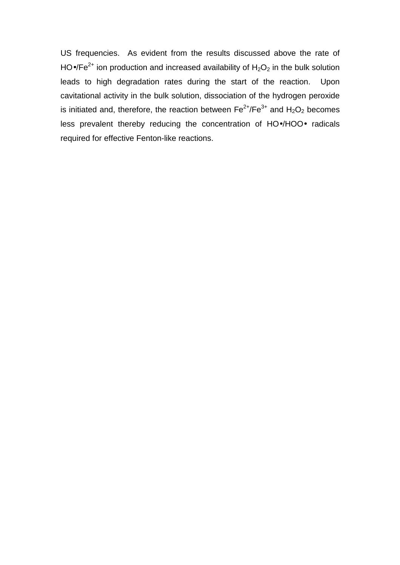US frequencies. As evident from the results discussed above the rate of HO•/Fe<sup>2+</sup> ion production and increased availability of  $H_2O_2$  in the bulk solution leads to high degradation rates during the start of the reaction. Upon cavitational activity in the bulk solution, dissociation of the hydrogen peroxide is initiated and, therefore, the reaction between  $\text{Fe}^{2+}/\text{Fe}^{3+}$  and  $\text{H}_2\text{O}_2$  becomes less prevalent thereby reducing the concentration of HO•/HOO• radicals required for effective Fenton-like reactions.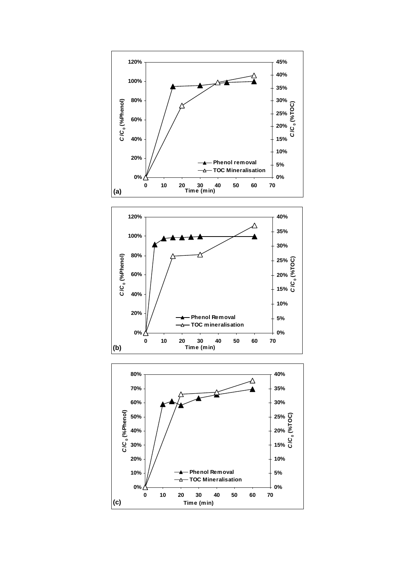



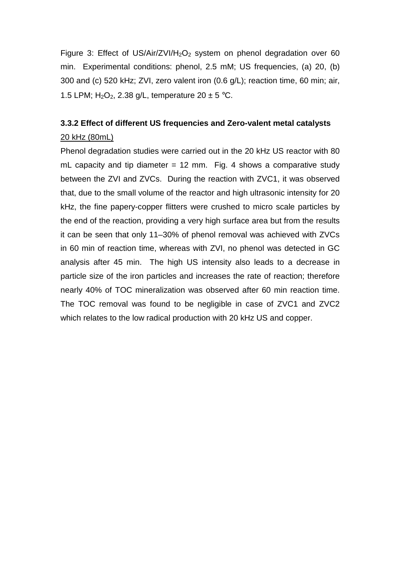Figure 3: Effect of US/Air/ZVI/H<sub>2</sub>O<sub>2</sub> system on phenol degradation over 60 min. Experimental conditions: phenol, 2.5 mM; US frequencies, (a) 20, (b) 300 and (c) 520 kHz; ZVI, zero valent iron (0.6 g/L); reaction time, 60 min; air, 1.5 LPM;  $H_2O_2$ , 2.38 g/L, temperature 20  $\pm$  5 °C.

# **3.3.2 Effect of different US frequencies and Zero-valent metal catalysts**  20 kHz (80mL)

Phenol degradation studies were carried out in the 20 kHz US reactor with 80 mL capacity and tip diameter  $= 12$  mm. Fig. 4 shows a comparative study between the ZVI and ZVCs. During the reaction with ZVC1, it was observed that, due to the small volume of the reactor and high ultrasonic intensity for 20 kHz, the fine papery-copper flitters were crushed to micro scale particles by the end of the reaction, providing a very high surface area but from the results it can be seen that only 11–30% of phenol removal was achieved with ZVCs in 60 min of reaction time, whereas with ZVI, no phenol was detected in GC analysis after 45 min. The high US intensity also leads to a decrease in particle size of the iron particles and increases the rate of reaction; therefore nearly 40% of TOC mineralization was observed after 60 min reaction time. The TOC removal was found to be negligible in case of ZVC1 and ZVC2 which relates to the low radical production with 20 kHz US and copper.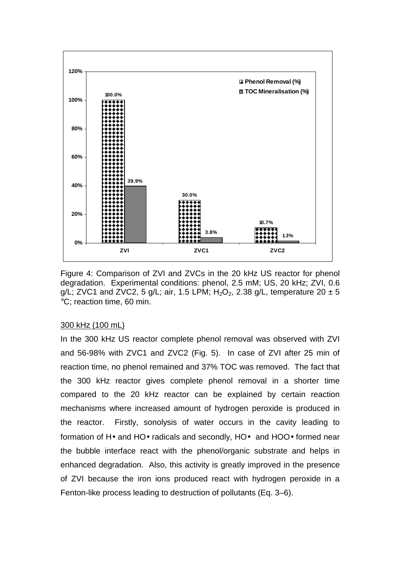

Figure 4: Comparison of ZVI and ZVCs in the 20 kHz US reactor for phenol degradation. Experimental conditions: phenol, 2.5 mM; US, 20 kHz; ZVI, 0.6 g/L; ZVC1 and ZVC2, 5 g/L; air, 1.5 LPM;  $H_2O_2$ , 2.38 g/L, temperature 20  $\pm$  5 °C; reaction time, 60 min.

## 300 kHz (100 mL)

In the 300 kHz US reactor complete phenol removal was observed with ZVI and 56-98% with ZVC1 and ZVC2 (Fig. 5). In case of ZVI after 25 min of reaction time, no phenol remained and 37% TOC was removed. The fact that the 300 kHz reactor gives complete phenol removal in a shorter time compared to the 20 kHz reactor can be explained by certain reaction mechanisms where increased amount of hydrogen peroxide is produced in the reactor. Firstly, sonolysis of water occurs in the cavity leading to formation of H• and HO• radicals and secondly, HO• and HOO• formed near the bubble interface react with the phenol/organic substrate and helps in enhanced degradation. Also, this activity is greatly improved in the presence of ZVI because the iron ions produced react with hydrogen peroxide in a Fenton-like process leading to destruction of pollutants (Eq. 3–6).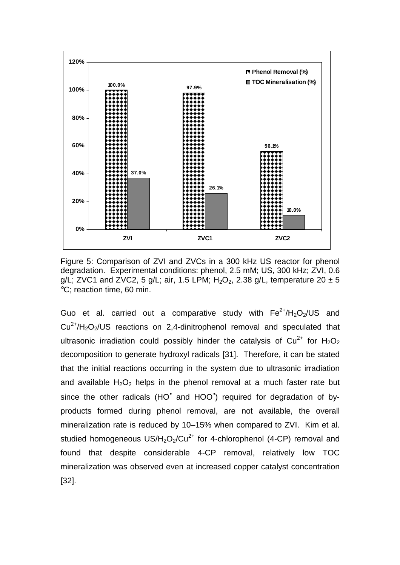

Figure 5: Comparison of ZVI and ZVCs in a 300 kHz US reactor for phenol degradation. Experimental conditions: phenol, 2.5 mM; US, 300 kHz; ZVI, 0.6 g/L; ZVC1 and ZVC2, 5 g/L; air, 1.5 LPM;  $H_2O_2$ , 2.38 g/L, temperature 20  $\pm$  5 °C; reaction time, 60 min.

Guo et al. carried out a comparative study with  $Fe^{2+}/H_2O_2/US$  and  $Cu^{2+}/H_2O_2/US$  reactions on 2,4-dinitrophenol removal and speculated that ultrasonic irradiation could possibly hinder the catalysis of  $Cu^{2+}$  for  $H_2O_2$ decomposition to generate hydroxyl radicals [31]. Therefore, it can be stated that the initial reactions occurring in the system due to ultrasonic irradiation and available  $H_2O_2$  helps in the phenol removal at a much faster rate but since the other radicals (HO<sup>\*</sup> and HOO<sup>\*</sup>) required for degradation of byproducts formed during phenol removal, are not available, the overall mineralization rate is reduced by 10–15% when compared to ZVI. Kim et al. studied homogeneous  $US/H_2O_2/Cu^{2+}$  for 4-chlorophenol (4-CP) removal and found that despite considerable 4-CP removal, relatively low TOC mineralization was observed even at increased copper catalyst concentration [32].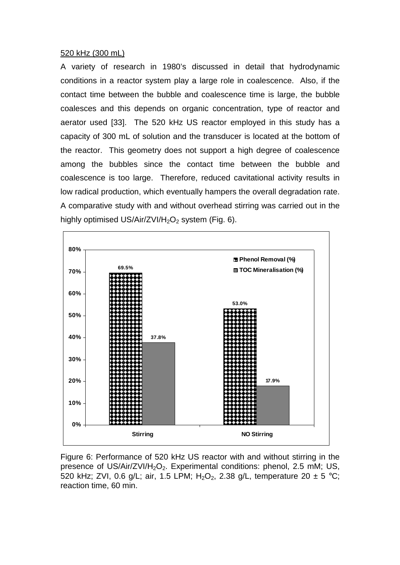#### 520 kHz (300 mL)

A variety of research in 1980's discussed in detail that hydrodynamic conditions in a reactor system play a large role in coalescence. Also, if the contact time between the bubble and coalescence time is large, the bubble coalesces and this depends on organic concentration, type of reactor and aerator used [33]. The 520 kHz US reactor employed in this study has a capacity of 300 mL of solution and the transducer is located at the bottom of the reactor. This geometry does not support a high degree of coalescence among the bubbles since the contact time between the bubble and coalescence is too large. Therefore, reduced cavitational activity results in low radical production, which eventually hampers the overall degradation rate. A comparative study with and without overhead stirring was carried out in the highly optimised US/Air/ZVI/H<sub>2</sub>O<sub>2</sub> system (Fig. 6).



Figure 6: Performance of 520 kHz US reactor with and without stirring in the presence of US/Air/ZVI/H<sub>2</sub>O<sub>2</sub>. Experimental conditions: phenol, 2.5 mM; US, 520 kHz; ZVI, 0.6 g/L; air, 1.5 LPM; H<sub>2</sub>O<sub>2</sub>, 2.38 g/L, temperature 20  $\pm$  5 °C; reaction time, 60 min.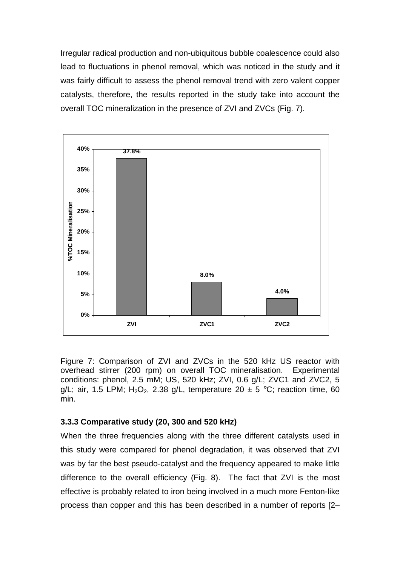Irregular radical production and non-ubiquitous bubble coalescence could also lead to fluctuations in phenol removal, which was noticed in the study and it was fairly difficult to assess the phenol removal trend with zero valent copper catalysts, therefore, the results reported in the study take into account the overall TOC mineralization in the presence of ZVI and ZVCs (Fig. 7).



Figure 7: Comparison of ZVI and ZVCs in the 520 kHz US reactor with overhead stirrer (200 rpm) on overall TOC mineralisation. Experimental conditions: phenol, 2.5 mM; US, 520 kHz; ZVI, 0.6 g/L; ZVC1 and ZVC2, 5 g/L; air, 1.5 LPM;  $H_2O_2$ , 2.38 g/L, temperature 20  $\pm$  5 °C; reaction time, 60 min.

# **3.3.3 Comparative study (20, 300 and 520 kHz)**

When the three frequencies along with the three different catalysts used in this study were compared for phenol degradation, it was observed that ZVI was by far the best pseudo-catalyst and the frequency appeared to make little difference to the overall efficiency (Fig. 8). The fact that ZVI is the most effective is probably related to iron being involved in a much more Fenton-like process than copper and this has been described in a number of reports [2–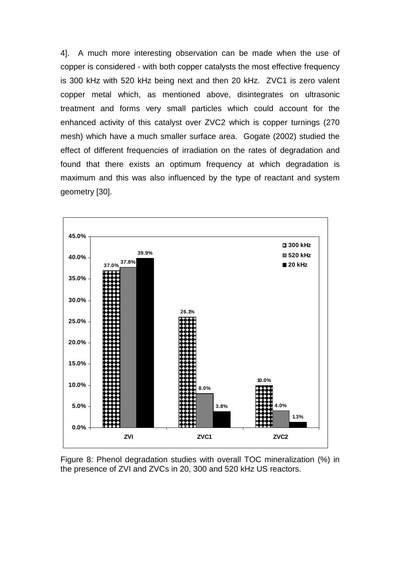4]. A much more interesting observation can be made when the use of copper is considered - with both copper catalysts the most effective frequency is 300 kHz with 520 kHz being next and then 20 kHz. ZVC1 is zero valent copper metal which, as mentioned above, disintegrates on ultrasonic treatment and forms very small particles which could account for the enhanced activity of this catalyst over ZVC2 which is copper turnings (270 mesh) which have a much smaller surface area. Gogate (2002) studied the effect of different frequencies of irradiation on the rates of degradation and found that there exists an optimum frequency at which degradation is maximum and this was also influenced by the type of reactant and system geometry [30].



Figure 8: Phenol degradation studies with overall TOC mineralization (%) in the presence of ZVI and ZVCs in 20, 300 and 520 kHz US reactors.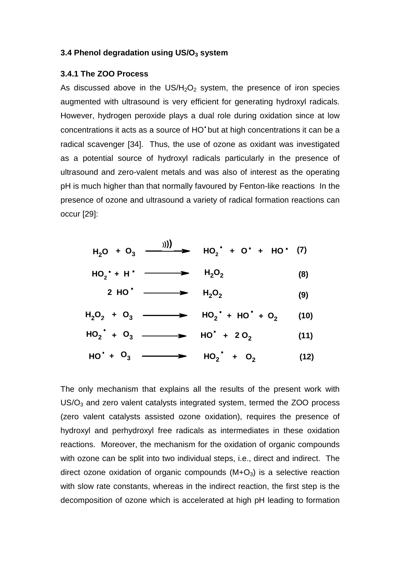### **3.4 Phenol degradation using US/O3 system**

#### **3.4.1 The ZOO Process**

As discussed above in the  $US/H<sub>2</sub>O<sub>2</sub>$  system, the presence of iron species augmented with ultrasound is very efficient for generating hydroxyl radicals. However, hydrogen peroxide plays a dual role during oxidation since at low concentrations it acts as a source of HO<sup>•</sup> but at high concentrations it can be a radical scavenger [34]. Thus, the use of ozone as oxidant was investigated as a potential source of hydroxyl radicals particularly in the presence of ultrasound and zero-valent metals and was also of interest as the operating pH is much higher than that normally favoured by Fenton-like reactions In the presence of ozone and ultrasound a variety of radical formation reactions can occur [29]:

| $H_2O + O_3$ $\longrightarrow$ $H_2^{\bullet}$ + $O^{\bullet}$ + $H_2^{\bullet}$ (7) |     |
|--------------------------------------------------------------------------------------|-----|
| $HO_2 + H' \longrightarrow H_2O_2$                                                   | (8) |
| 2 HO <sup><math>\cdot</math></sup> $\longrightarrow$ H <sub>2</sub> O <sub>2</sub>   | (9) |

$$
H_2O_2 + O_3 \longrightarrow HO_2^+ + HO^+ + O_2 \qquad (10)
$$
  

$$
HO_2^+ + O_3 \longrightarrow HO^+ + 2O_2 \qquad (11)
$$

$$
HO' + O_3 \longrightarrow HO_2' + O_2
$$
 (12)

The only mechanism that explains all the results of the present work with  $US/O<sub>3</sub>$  and zero valent catalysts integrated system, termed the ZOO process (zero valent catalysts assisted ozone oxidation), requires the presence of hydroxyl and perhydroxyl free radicals as intermediates in these oxidation reactions. Moreover, the mechanism for the oxidation of organic compounds with ozone can be split into two individual steps, i.e., direct and indirect. The direct ozone oxidation of organic compounds  $(M+O<sub>3</sub>)$  is a selective reaction with slow rate constants, whereas in the indirect reaction, the first step is the decomposition of ozone which is accelerated at high pH leading to formation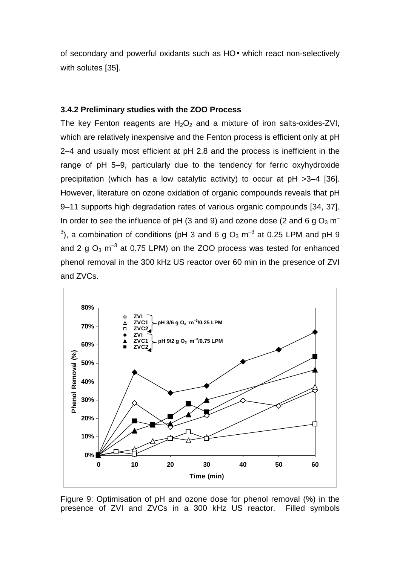of secondary and powerful oxidants such as HO• which react non-selectively with solutes [35].

#### **3.4.2 Preliminary studies with the ZOO Process**

The key Fenton reagents are  $H_2O_2$  and a mixture of iron salts-oxides-ZVI, which are relatively inexpensive and the Fenton process is efficient only at pH 2–4 and usually most efficient at pH 2.8 and the process is inefficient in the range of pH 5–9, particularly due to the tendency for ferric oxyhydroxide precipitation (which has a low catalytic activity) to occur at pH >3–4 [36]. However, literature on ozone oxidation of organic compounds reveals that pH 9–11 supports high degradation rates of various organic compounds [34, 37]. In order to see the influence of pH (3 and 9) and ozone dose (2 and 6 g  $O_3$  m<sup>-</sup> <sup>3</sup>), a combination of conditions (pH 3 and 6 g O<sub>3</sub> m<sup>-3</sup> at 0.25 LPM and pH 9 and 2 g  $O_3$  m<sup>-3</sup> at 0.75 LPM) on the ZOO process was tested for enhanced phenol removal in the 300 kHz US reactor over 60 min in the presence of ZVI and ZVCs.



Figure 9: Optimisation of pH and ozone dose for phenol removal (%) in the presence of ZVI and ZVCs in a 300 kHz US reactor. Filled symbols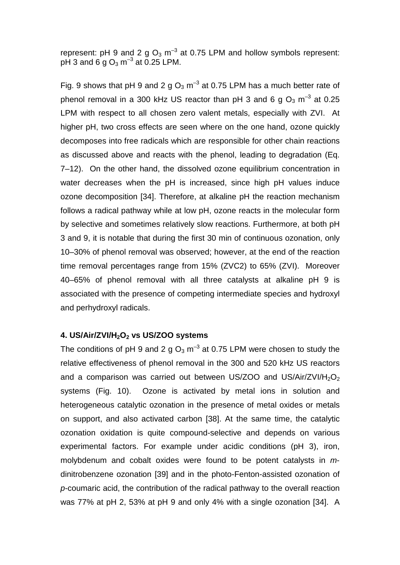represent: pH 9 and 2 g  $O_3$  m<sup>-3</sup> at 0.75 LPM and hollow symbols represent: pH 3 and 6 g  $\mathrm{O}_3$  m $^{-3}$  at 0.25 LPM.

Fig. 9 shows that pH 9 and 2 g  $O_3$  m<sup>-3</sup> at 0.75 LPM has a much better rate of phenol removal in a 300 kHz US reactor than pH 3 and 6 g  $O_3$  m<sup>-3</sup> at 0.25 LPM with respect to all chosen zero valent metals, especially with ZVI. At higher pH, two cross effects are seen where on the one hand, ozone quickly decomposes into free radicals which are responsible for other chain reactions as discussed above and reacts with the phenol, leading to degradation (Eq. 7–12). On the other hand, the dissolved ozone equilibrium concentration in water decreases when the pH is increased, since high pH values induce ozone decomposition [34]. Therefore, at alkaline pH the reaction mechanism follows a radical pathway while at low pH, ozone reacts in the molecular form by selective and sometimes relatively slow reactions. Furthermore, at both pH 3 and 9, it is notable that during the first 30 min of continuous ozonation, only 10–30% of phenol removal was observed; however, at the end of the reaction time removal percentages range from 15% (ZVC2) to 65% (ZVI). Moreover 40–65% of phenol removal with all three catalysts at alkaline pH 9 is associated with the presence of competing intermediate species and hydroxyl and perhydroxyl radicals.

## **4. US/Air/ZVI/H2O2 vs US/ZOO systems**

The conditions of pH 9 and 2 g  $O_3$  m<sup>-3</sup> at 0.75 LPM were chosen to study the relative effectiveness of phenol removal in the 300 and 520 kHz US reactors and a comparison was carried out between US/ZOO and US/Air/ZVI/H<sub>2</sub>O<sub>2</sub> systems (Fig. 10). Ozone is activated by metal ions in solution and heterogeneous catalytic ozonation in the presence of metal oxides or metals on support, and also activated carbon [38]. At the same time, the catalytic ozonation oxidation is quite compound-selective and depends on various experimental factors. For example under acidic conditions (pH 3), iron, molybdenum and cobalt oxides were found to be potent catalysts in  $m$ dinitrobenzene ozonation [39] and in the photo-Fenton-assisted ozonation of p-coumaric acid, the contribution of the radical pathway to the overall reaction was 77% at pH 2, 53% at pH 9 and only 4% with a single ozonation [34]. A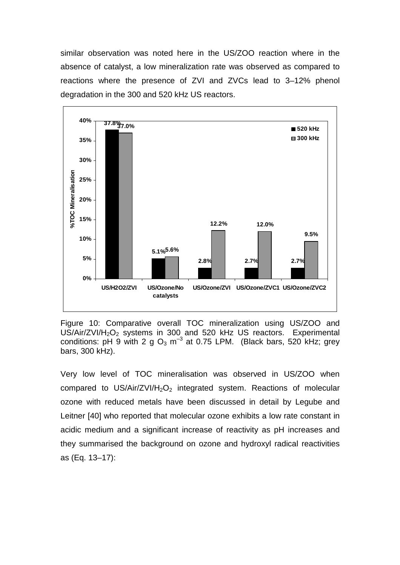similar observation was noted here in the US/ZOO reaction where in the absence of catalyst, a low mineralization rate was observed as compared to reactions where the presence of ZVI and ZVCs lead to 3–12% phenol degradation in the 300 and 520 kHz US reactors.



Figure 10: Comparative overall TOC mineralization using US/ZOO and US/Air/ZVI/H<sub>2</sub>O<sub>2</sub> systems in 300 and 520 kHz US reactors. Experimental conditions:  $pH_9$  with  $2 \text{ q } Q_3$  m<sup>-3</sup> at 0.75 LPM. (Black bars, 520 kHz; grey bars, 300 kHz).

Very low level of TOC mineralisation was observed in US/ZOO when compared to US/Air/ZVI/H<sub>2</sub>O<sub>2</sub> integrated system. Reactions of molecular ozone with reduced metals have been discussed in detail by Legube and Leitner [40] who reported that molecular ozone exhibits a low rate constant in acidic medium and a significant increase of reactivity as pH increases and they summarised the background on ozone and hydroxyl radical reactivities as (Eq. 13–17):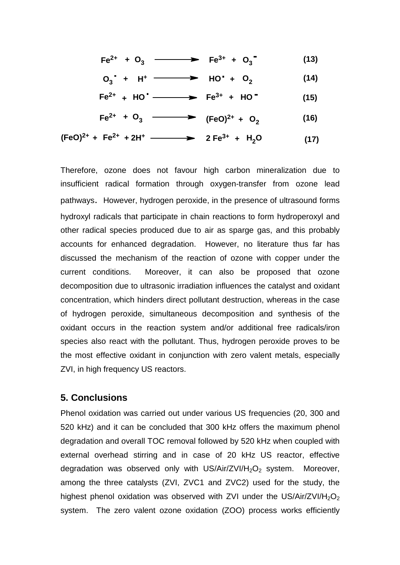$$
Fe^{2+} + O_3 \longrightarrow Fe^{3+} + O_3 \tag{13}
$$

$$
O_3 + H^+ \longrightarrow HO^+ + O_2 \qquad (14)
$$

$$
Fe2+ + HO+ \longrightarrow Fe3+ + HO-
$$
 (15)

**(16)**  $\text{Fe}^{2+} + \text{O}_3 \longrightarrow (\text{FeO})^{2+} + \text{O}_2$ 

**2 Fe3+ Fe2+ + (FeO)2+ + 2H<sup>+</sup> <sup>+</sup> <sup>H</sup>2<sup>O</sup> (17)**

Therefore, ozone does not favour high carbon mineralization due to insufficient radical formation through oxygen-transfer from ozone lead pathways. However, hydrogen peroxide, in the presence of ultrasound forms hydroxyl radicals that participate in chain reactions to form hydroperoxyl and other radical species produced due to air as sparge gas, and this probably accounts for enhanced degradation. However, no literature thus far has discussed the mechanism of the reaction of ozone with copper under the current conditions. Moreover, it can also be proposed that ozone decomposition due to ultrasonic irradiation influences the catalyst and oxidant concentration, which hinders direct pollutant destruction, whereas in the case of hydrogen peroxide, simultaneous decomposition and synthesis of the oxidant occurs in the reaction system and/or additional free radicals/iron species also react with the pollutant. Thus, hydrogen peroxide proves to be the most effective oxidant in conjunction with zero valent metals, especially ZVI, in high frequency US reactors.

# **5. Conclusions**

Phenol oxidation was carried out under various US frequencies (20, 300 and 520 kHz) and it can be concluded that 300 kHz offers the maximum phenol degradation and overall TOC removal followed by 520 kHz when coupled with external overhead stirring and in case of 20 kHz US reactor, effective degradation was observed only with US/Air/ZVI/H<sub>2</sub>O<sub>2</sub> system. Moreover, among the three catalysts (ZVI, ZVC1 and ZVC2) used for the study, the highest phenol oxidation was observed with ZVI under the US/Air/ZVI/H<sub>2</sub>O<sub>2</sub> system. The zero valent ozone oxidation (ZOO) process works efficiently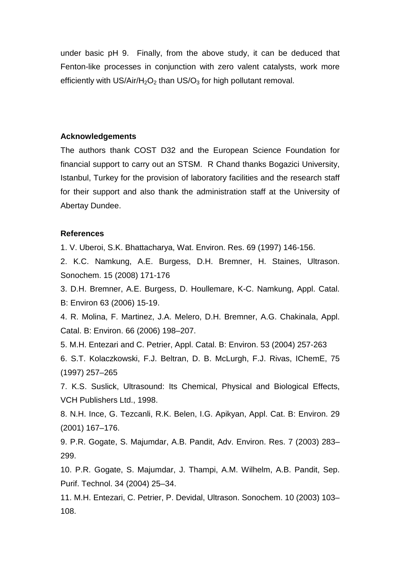under basic pH 9. Finally, from the above study, it can be deduced that Fenton-like processes in conjunction with zero valent catalysts, work more efficiently with  $US/Air/H<sub>2</sub>O<sub>2</sub>$  than  $US/O<sub>3</sub>$  for high pollutant removal.

#### **Acknowledgements**

The authors thank COST D32 and the European Science Foundation for financial support to carry out an STSM. R Chand thanks Bogazici University, Istanbul, Turkey for the provision of laboratory facilities and the research staff for their support and also thank the administration staff at the University of Abertay Dundee.

#### **References**

1. V. Uberoi, S.K. Bhattacharya, Wat. Environ. Res. 69 (1997) 146-156.

2. K.C. Namkung, A.E. Burgess, D.H. Bremner, H. Staines, Ultrason. Sonochem. 15 (2008) 171-176

3. D.H. Bremner, A.E. Burgess, D. Houllemare, K-C. Namkung, Appl. Catal. B: Environ 63 (2006) 15-19.

4. R. Molina, F. Martinez, J.A. Melero, D.H. Bremner, A.G. Chakinala, Appl. Catal. B: Environ. 66 (2006) 198–207.

5. M.H. Entezari and C. Petrier, Appl. Catal. B: Environ. 53 (2004) 257-263

6. S.T. Kolaczkowski, F.J. Beltran, D. B. McLurgh, F.J. Rivas, IChemE, 75 (1997) 257–265

7. K.S. Suslick, Ultrasound: Its Chemical, Physical and Biological Effects, VCH Publishers Ltd., 1998.

8. N.H. Ince, G. Tezcanli, R.K. Belen, I.G. Apikyan, Appl. Cat. B: Environ. 29 (2001) 167–176.

9. P.R. Gogate, S. Majumdar, A.B. Pandit, Adv. Environ. Res. 7 (2003) 283– 299.

10. P.R. Gogate, S. Majumdar, J. Thampi, A.M. Wilhelm, A.B. Pandit, Sep. Purif. Technol. 34 (2004) 25–34.

11. M.H. Entezari, C. Petrier, P. Devidal, Ultrason. Sonochem. 10 (2003) 103– 108.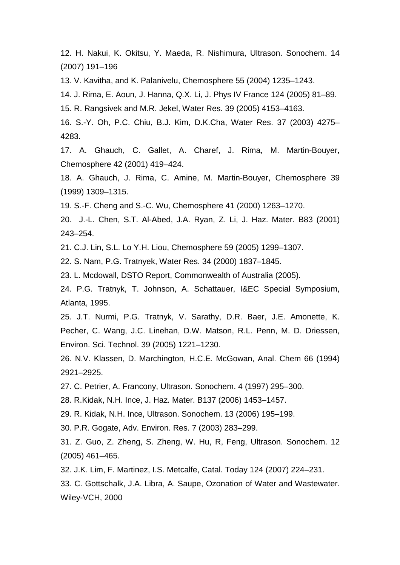12. H. Nakui, K. Okitsu, Y. Maeda, R. Nishimura, Ultrason. Sonochem. 14 (2007) 191–196

13. V. Kavitha, and K. Palanivelu, Chemosphere 55 (2004) 1235–1243.

14. J. Rima, E. Aoun, J. Hanna, Q.X. Li, J. Phys IV France 124 (2005) 81–89.

15. R. Rangsivek and M.R. Jekel, Water Res. 39 (2005) 4153–4163.

16. S.-Y. Oh, P.C. Chiu, B.J. Kim, D.K.Cha, Water Res. 37 (2003) 4275– 4283.

17. A. Ghauch, C. Gallet, A. Charef, J. Rima, M. Martin-Bouyer, Chemosphere 42 (2001) 419–424.

18. A. Ghauch, J. Rima, C. Amine, M. Martin-Bouyer, Chemosphere 39 (1999) 1309–1315.

19. S.-F. Cheng and S.-C. Wu, Chemosphere 41 (2000) 1263–1270.

20. J.-L. Chen, S.T. Al-Abed, J.A. Ryan, Z. Li, J. Haz. Mater. B83 (2001) 243–254.

21. C.J. Lin, S.L. Lo Y.H. Liou, Chemosphere 59 (2005) 1299–1307.

22. S. Nam, P.G. Tratnyek, Water Res. 34 (2000) 1837–1845.

23. L. Mcdowall, DSTO Report, Commonwealth of Australia (2005).

24. P.G. Tratnyk, T. Johnson, A. Schattauer, I&EC Special Symposium, Atlanta, 1995.

25. J.T. Nurmi, P.G. Tratnyk, V. Sarathy, D.R. Baer, J.E. Amonette, K. Pecher, C. Wang, J.C. Linehan, D.W. Matson, R.L. Penn, M. D. Driessen, Environ. Sci. Technol. 39 (2005) 1221–1230.

26. N.V. Klassen, D. Marchington, H.C.E. McGowan, Anal. Chem 66 (1994) 2921–2925.

27. C. Petrier, A. Francony, Ultrason. Sonochem. 4 (1997) 295–300.

28. R.Kidak, N.H. Ince, J. Haz. Mater. B137 (2006) 1453–1457.

29. R. Kidak, N.H. Ince, Ultrason. Sonochem. 13 (2006) 195–199.

30. P.R. Gogate, Adv. Environ. Res. 7 (2003) 283–299.

31. Z. Guo, Z. Zheng, S. Zheng, W. Hu, R, Feng, Ultrason. Sonochem. 12 (2005) 461–465.

32. J.K. Lim, F. Martinez, I.S. Metcalfe, Catal. Today 124 (2007) 224–231.

33. C. Gottschalk, J.A. Libra, A. Saupe, Ozonation of Water and Wastewater. Wiley-VCH, 2000